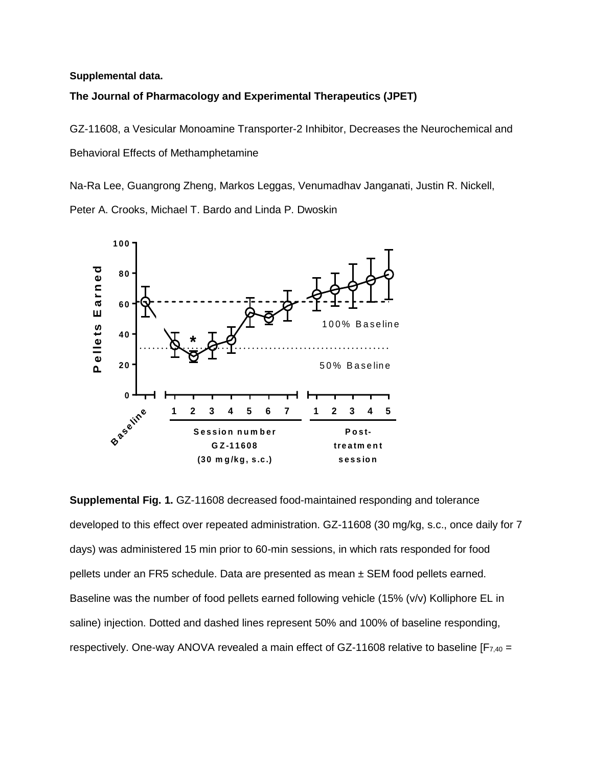## **Supplemental data.**

## **The Journal of Pharmacology and Experimental Therapeutics (JPET)**

GZ-11608, a Vesicular Monoamine Transporter-2 Inhibitor, Decreases the Neurochemical and Behavioral Effects of Methamphetamine

Na-Ra Lee, Guangrong Zheng, Markos Leggas, Venumadhav Janganati, Justin R. Nickell, Peter A. Crooks, Michael T. Bardo and Linda P. Dwoskin



**Supplemental Fig. 1.** GZ-11608 decreased food-maintained responding and tolerance developed to this effect over repeated administration. GZ-11608 (30 mg/kg, s.c., once daily for 7 days) was administered 15 min prior to 60-min sessions, in which rats responded for food pellets under an FR5 schedule. Data are presented as mean ± SEM food pellets earned. Baseline was the number of food pellets earned following vehicle (15% (v/v) Kolliphore EL in saline) injection. Dotted and dashed lines represent 50% and 100% of baseline responding, respectively. One-way ANOVA revealed a main effect of GZ-11608 relative to baseline  $[F_{7,40} =$